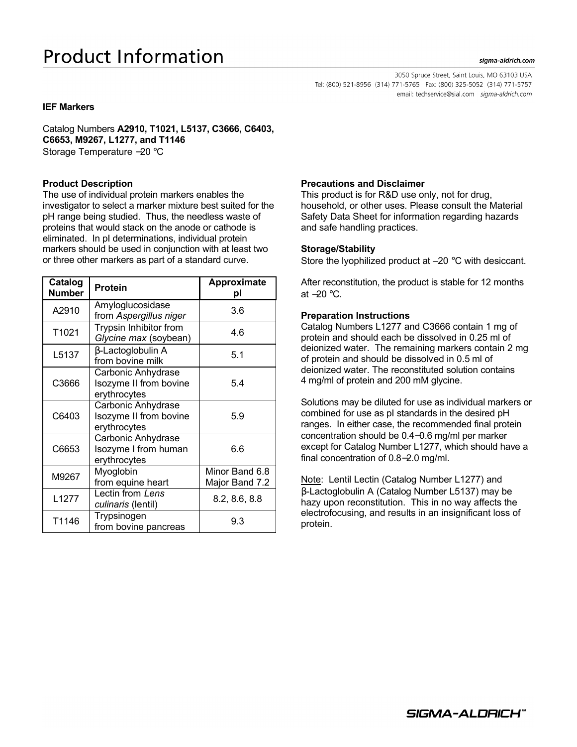# **Product Information**

#### sigma-aldrich.com

3050 Spruce Street, Saint Louis, MO 63103 USA Tel: (800) 521-8956 (314) 771-5765 Fax: (800) 325-5052 (314) 771-5757 email: techservice@sial.com sigma-aldrich.com

## **IEF Markers**

Catalog Numbers **A2910, T1021, L5137, C3666, C6403, C6653, M9267, L1277, and T1146** Storage Temperature −20 °C

# **Product Description**

The use of individual protein markers enables the investigator to select a marker mixture best suited for the pH range being studied. Thus, the needless waste of proteins that would stack on the anode or cathode is eliminated. In pI determinations, individual protein markers should be used in conjunction with at least two or three other markers as part of a standard curve.

| Catalog<br>Number | <b>Protein</b>                                               | <b>Approximate</b><br>рI         |
|-------------------|--------------------------------------------------------------|----------------------------------|
| A2910             | Amyloglucosidase<br>from Aspergillus niger                   | 3.6                              |
| T1021             | Trypsin Inhibitor from<br>Glycine max (soybean)              | 4.6                              |
| L5137             | β-Lactoglobulin A<br>from bovine milk                        | 5.1                              |
| C3666             | Carbonic Anhydrase<br>Isozyme II from bovine<br>erythrocytes | 5.4                              |
| C6403             | Carbonic Anhydrase<br>Isozyme II from bovine<br>erythrocytes | 5.9                              |
| C6653             | Carbonic Anhydrase<br>Isozyme I from human<br>erythrocytes   | 6.6                              |
| M9267             | Myoglobin<br>from equine heart                               | Minor Band 6.8<br>Major Band 7.2 |
| L1277             | Lectin from Lens<br>culinaris (lentil)                       | 8.2, 8.6, 8.8                    |
| T1146             | Trypsinogen<br>from bovine pancreas                          | 9.3                              |

# **Precautions and Disclaimer**

This product is for R&D use only, not for drug, household, or other uses. Please consult the Material Safety Data Sheet for information regarding hazards and safe handling practices.

#### **Storage/Stability**

Store the lyophilized product at –20 °C with desiccant.

After reconstitution, the product is stable for 12 months at −20 °C.

#### **Preparation Instructions**

Catalog Numbers L1277 and C3666 contain 1 mg of protein and should each be dissolved in 0.25 ml of deionized water. The remaining markers contain 2 mg of protein and should be dissolved in 0.5 ml of deionized water. The reconstituted solution contains 4 mg/ml of protein and 200 mM glycine.

Solutions may be diluted for use as individual markers or combined for use as pI standards in the desired pH ranges. In either case, the recommended final protein concentration should be 0.4−0.6 mg/ml per marker except for Catalog Number L1277, which should have a final concentration of 0.8−2.0 mg/ml.

Note: Lentil Lectin (Catalog Number L1277) and β-Lactoglobulin A (Catalog Number L5137) may be hazy upon reconstitution. This in no way affects the electrofocusing, and results in an insignificant loss of protein.